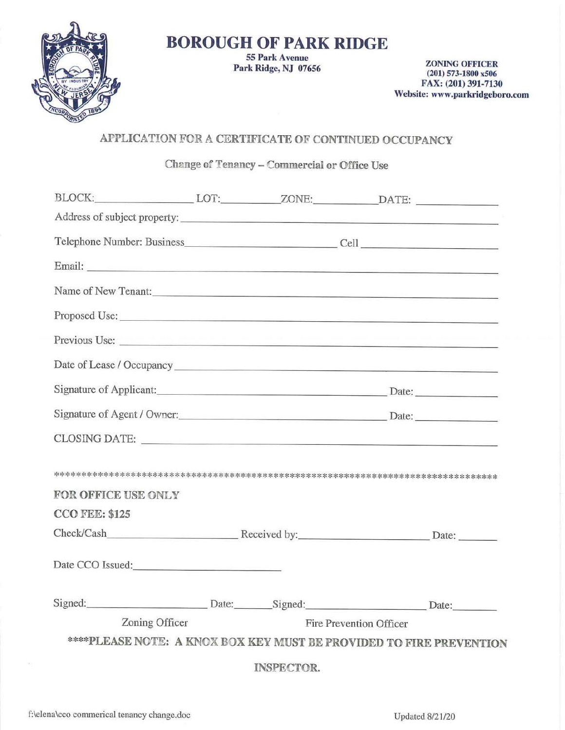

## **BOROUGH OF PARK RIDGE**

55 Park A venue

Park Ridge, NJ 07656 ZONING OFFICER (201) 573-1800 x506 FAX: (201) 391-7130 Website: www .parkridgeboro.com

## **APPLICA'f!ON FOR** A **CJERTIFICATE OF CONTINUED OCCUPANCY**

**Change of Tenancy - Commercial or Office Use** 

| BLOCK: LOT: ZONE: DATE:                                             |                      |                   |                         |       |
|---------------------------------------------------------------------|----------------------|-------------------|-------------------------|-------|
| Address of subject property:                                        |                      |                   |                         |       |
|                                                                     |                      |                   |                         |       |
|                                                                     |                      |                   |                         |       |
| Name of New Tenant:                                                 |                      |                   |                         |       |
| Proposed Use:                                                       |                      |                   |                         |       |
|                                                                     |                      |                   |                         |       |
|                                                                     |                      |                   |                         |       |
| Signature of Applicant: Date: Date:                                 |                      |                   |                         |       |
| Signature of Agent / Owner: Date: Date:                             |                      |                   |                         |       |
| CLOSING DATE: NATURAL CLOSING DATE:                                 |                      |                   |                         |       |
|                                                                     |                      |                   |                         |       |
| <b>FOR OFFICE USE ONLY</b>                                          |                      |                   |                         |       |
| <b>CCO FEE: \$125</b>                                               |                      |                   |                         |       |
|                                                                     |                      |                   |                         |       |
| Date CCO Issued:                                                    |                      |                   |                         |       |
| Signed:                                                             | Date:________Signed: |                   |                         | Date: |
| Zoning Officer                                                      |                      |                   | Fire Prevention Officer |       |
| ****PLEASE NOTE: A KNOX BOX KEY MUST BE PROVIDED TO FIRE PREVENTION |                      |                   |                         |       |
|                                                                     |                      | <b>INSPECTOR.</b> |                         |       |